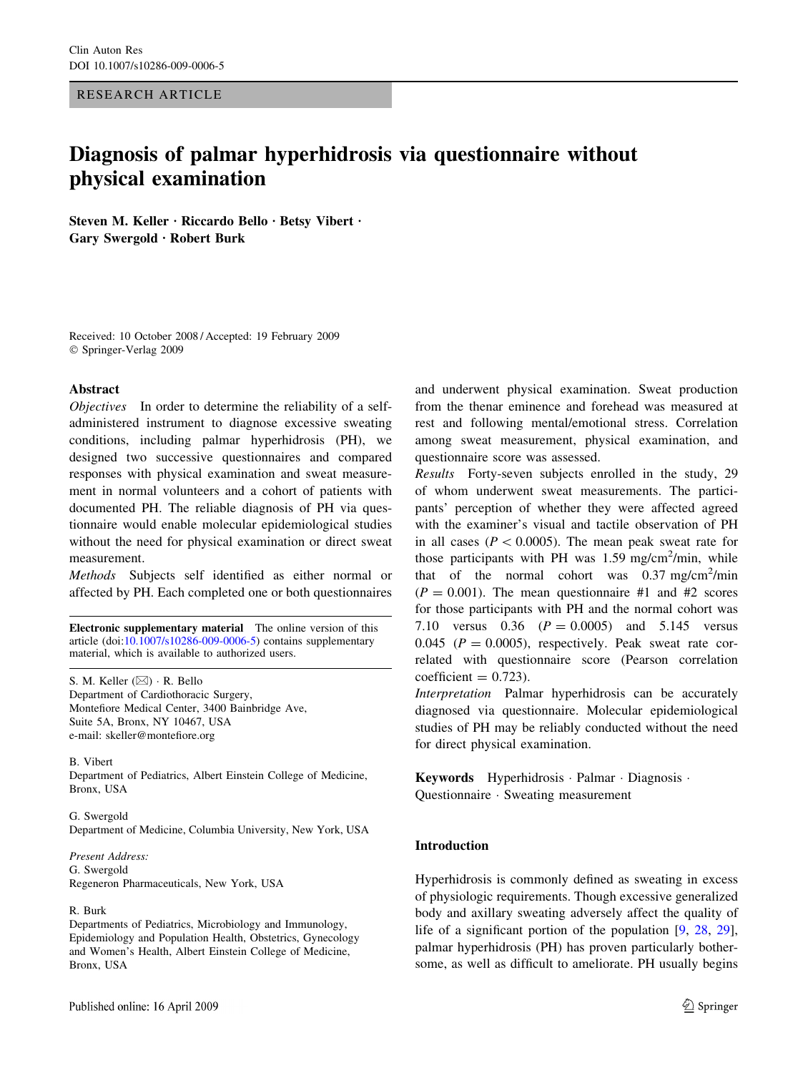RESEARCH ARTICLE

# Diagnosis of palmar hyperhidrosis via questionnaire without physical examination

Steven M. Keller · Riccardo Bello · Betsy Vibert · Gary Swergold  $\cdot$  Robert Burk

Received: 10 October 2008 / Accepted: 19 February 2009 Springer-Verlag 2009

## Abstract

Objectives In order to determine the reliability of a selfadministered instrument to diagnose excessive sweating conditions, including palmar hyperhidrosis (PH), we designed two successive questionnaires and compared responses with physical examination and sweat measurement in normal volunteers and a cohort of patients with documented PH. The reliable diagnosis of PH via questionnaire would enable molecular epidemiological studies without the need for physical examination or direct sweat measurement.

Methods Subjects self identified as either normal or affected by PH. Each completed one or both questionnaires

Electronic supplementary material The online version of this article (doi:[10.1007/s10286-009-0006-5\)](http://dx.doi.org/10.1007/s10286-009-0006-5) contains supplementary material, which is available to authorized users.

S. M. Keller  $(\boxtimes) \cdot R$ . Bello Department of Cardiothoracic Surgery, Montefiore Medical Center, 3400 Bainbridge Ave, Suite 5A, Bronx, NY 10467, USA e-mail: skeller@montefiore.org

B. Vibert Department of Pediatrics, Albert Einstein College of Medicine, Bronx, USA

G. Swergold Department of Medicine, Columbia University, New York, USA

Present Address: G. Swergold Regeneron Pharmaceuticals, New York, USA

#### R. Burk

Departments of Pediatrics, Microbiology and Immunology, Epidemiology and Population Health, Obstetrics, Gynecology and Women's Health, Albert Einstein College of Medicine, Bronx, USA

and underwent physical examination. Sweat production from the thenar eminence and forehead was measured at rest and following mental/emotional stress. Correlation among sweat measurement, physical examination, and questionnaire score was assessed.

Results Forty-seven subjects enrolled in the study, 29 of whom underwent sweat measurements. The participants' perception of whether they were affected agreed with the examiner's visual and tactile observation of PH in all cases ( $P \lt 0.0005$ ). The mean peak sweat rate for those participants with PH was  $1.59$  mg/cm<sup>2</sup>/min, while that of the normal cohort was  $0.37 \text{ mg/cm}^2/\text{min}$  $(P = 0.001)$ . The mean questionnaire #1 and #2 scores for those participants with PH and the normal cohort was 7.10 versus  $0.36$   $(P = 0.0005)$  and 5.145 versus 0.045 ( $P = 0.0005$ ), respectively. Peak sweat rate correlated with questionnaire score (Pearson correlation  $coefficient = 0.723$ .

Interpretation Palmar hyperhidrosis can be accurately diagnosed via questionnaire. Molecular epidemiological studies of PH may be reliably conducted without the need for direct physical examination.

Keywords Hyperhidrosis Palmar Diagnosis · Questionnaire · Sweating measurement

## Introduction

Hyperhidrosis is commonly defined as sweating in excess of physiologic requirements. Though excessive generalized body and axillary sweating adversely affect the quality of life of a significant portion of the population [[9,](#page-6-0) [28](#page-6-0), [29](#page-6-0)], palmar hyperhidrosis (PH) has proven particularly bothersome, as well as difficult to ameliorate. PH usually begins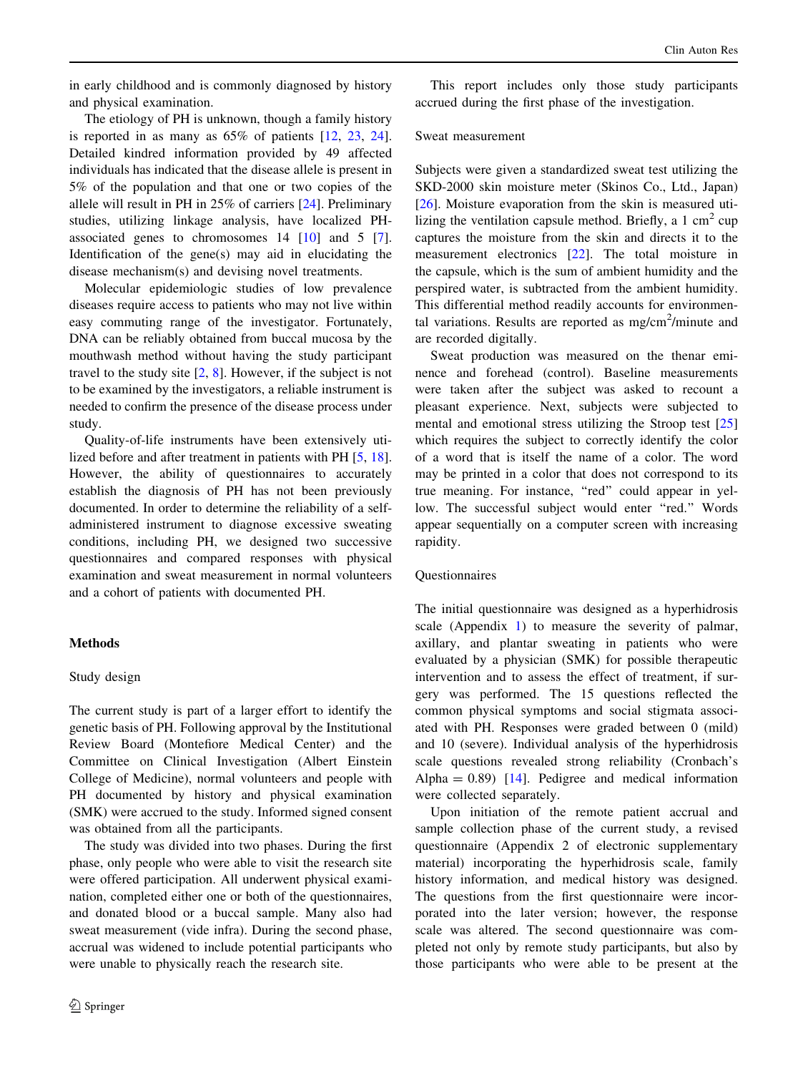<span id="page-1-0"></span>in early childhood and is commonly diagnosed by history and physical examination.

The etiology of PH is unknown, though a family history is reported in as many as 65% of patients [\[12](#page-6-0), [23](#page-6-0), [24](#page-6-0)]. Detailed kindred information provided by 49 affected individuals has indicated that the disease allele is present in 5% of the population and that one or two copies of the allele will result in PH in 25% of carriers [\[24](#page-6-0)]. Preliminary studies, utilizing linkage analysis, have localized PHassociated genes to chromosomes 14 [\[10](#page-6-0)] and 5 [\[7](#page-6-0)]. Identification of the gene(s) may aid in elucidating the disease mechanism(s) and devising novel treatments.

Molecular epidemiologic studies of low prevalence diseases require access to patients who may not live within easy commuting range of the investigator. Fortunately, DNA can be reliably obtained from buccal mucosa by the mouthwash method without having the study participant travel to the study site  $[2, 8]$  $[2, 8]$  $[2, 8]$ . However, if the subject is not to be examined by the investigators, a reliable instrument is needed to confirm the presence of the disease process under study.

Quality-of-life instruments have been extensively utilized before and after treatment in patients with PH [\[5](#page-6-0), [18](#page-6-0)]. However, the ability of questionnaires to accurately establish the diagnosis of PH has not been previously documented. In order to determine the reliability of a selfadministered instrument to diagnose excessive sweating conditions, including PH, we designed two successive questionnaires and compared responses with physical examination and sweat measurement in normal volunteers and a cohort of patients with documented PH.

## Methods

## Study design

The current study is part of a larger effort to identify the genetic basis of PH. Following approval by the Institutional Review Board (Montefiore Medical Center) and the Committee on Clinical Investigation (Albert Einstein College of Medicine), normal volunteers and people with PH documented by history and physical examination (SMK) were accrued to the study. Informed signed consent was obtained from all the participants.

The study was divided into two phases. During the first phase, only people who were able to visit the research site were offered participation. All underwent physical examination, completed either one or both of the questionnaires, and donated blood or a buccal sample. Many also had sweat measurement (vide infra). During the second phase, accrual was widened to include potential participants who were unable to physically reach the research site.

This report includes only those study participants accrued during the first phase of the investigation.

## Sweat measurement

Subjects were given a standardized sweat test utilizing the SKD-2000 skin moisture meter (Skinos Co., Ltd., Japan) [\[26](#page-6-0)]. Moisture evaporation from the skin is measured utilizing the ventilation capsule method. Briefly, a  $1 \text{ cm}^2$  cup captures the moisture from the skin and directs it to the measurement electronics [[22\]](#page-6-0). The total moisture in the capsule, which is the sum of ambient humidity and the perspired water, is subtracted from the ambient humidity. This differential method readily accounts for environmental variations. Results are reported as  $mg/cm<sup>2</sup>/minute$  and are recorded digitally.

Sweat production was measured on the thenar eminence and forehead (control). Baseline measurements were taken after the subject was asked to recount a pleasant experience. Next, subjects were subjected to mental and emotional stress utilizing the Stroop test [[25\]](#page-6-0) which requires the subject to correctly identify the color of a word that is itself the name of a color. The word may be printed in a color that does not correspond to its true meaning. For instance, "red" could appear in yellow. The successful subject would enter "red." Words appear sequentially on a computer screen with increasing rapidity.

## **Ouestionnaires**

The initial questionnaire was designed as a hyperhidrosis scale (Appendix [1\)](#page-5-0) to measure the severity of palmar, axillary, and plantar sweating in patients who were evaluated by a physician (SMK) for possible therapeutic intervention and to assess the effect of treatment, if surgery was performed. The 15 questions reflected the common physical symptoms and social stigmata associated with PH. Responses were graded between 0 (mild) and 10 (severe). Individual analysis of the hyperhidrosis scale questions revealed strong reliability (Cronbach's Alpha =  $0.89$ ) [\[14](#page-6-0)]. Pedigree and medical information were collected separately.

Upon initiation of the remote patient accrual and sample collection phase of the current study, a revised questionnaire (Appendix 2 of electronic supplementary material) incorporating the hyperhidrosis scale, family history information, and medical history was designed. The questions from the first questionnaire were incorporated into the later version; however, the response scale was altered. The second questionnaire was completed not only by remote study participants, but also by those participants who were able to be present at the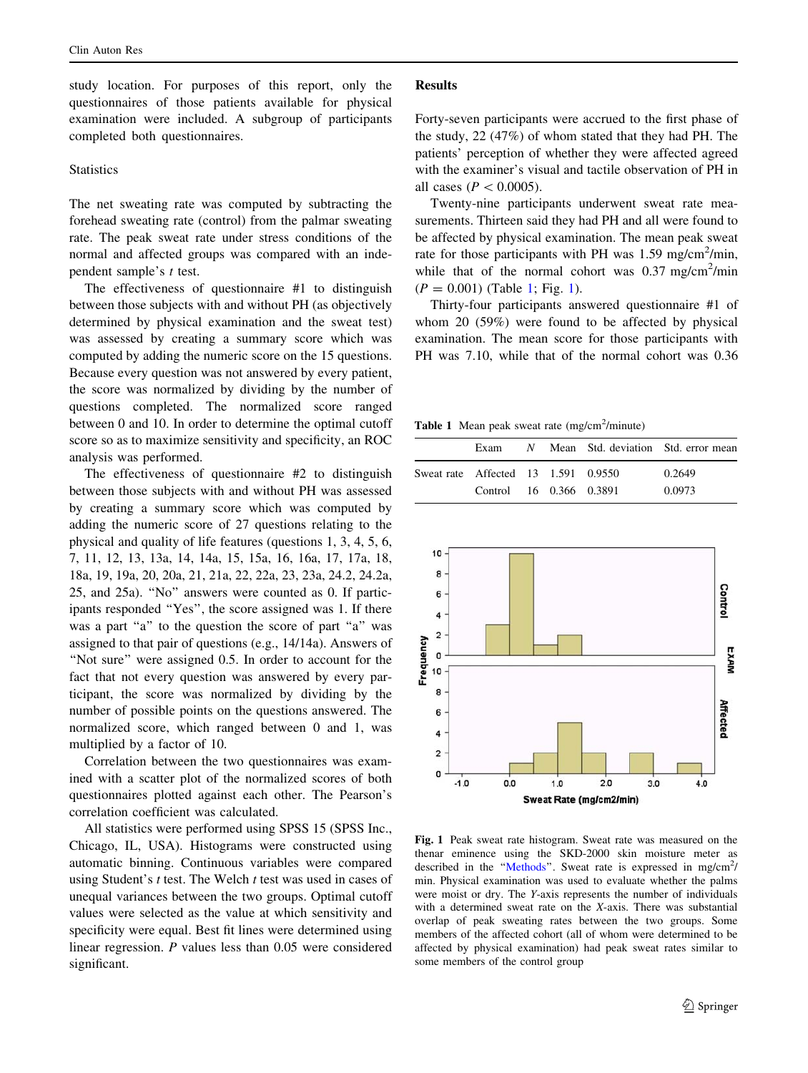study location. For purposes of this report, only the questionnaires of those patients available for physical examination were included. A subgroup of participants completed both questionnaires.

## **Statistics**

The net sweating rate was computed by subtracting the forehead sweating rate (control) from the palmar sweating rate. The peak sweat rate under stress conditions of the normal and affected groups was compared with an independent sample's t test.

The effectiveness of questionnaire #1 to distinguish between those subjects with and without PH (as objectively determined by physical examination and the sweat test) was assessed by creating a summary score which was computed by adding the numeric score on the 15 questions. Because every question was not answered by every patient, the score was normalized by dividing by the number of questions completed. The normalized score ranged between 0 and 10. In order to determine the optimal cutoff score so as to maximize sensitivity and specificity, an ROC analysis was performed.

The effectiveness of questionnaire #2 to distinguish between those subjects with and without PH was assessed by creating a summary score which was computed by adding the numeric score of 27 questions relating to the physical and quality of life features (questions 1, 3, 4, 5, 6, 7, 11, 12, 13, 13a, 14, 14a, 15, 15a, 16, 16a, 17, 17a, 18, 18a, 19, 19a, 20, 20a, 21, 21a, 22, 22a, 23, 23a, 24.2, 24.2a, 25, and 25a). ''No'' answers were counted as 0. If participants responded ''Yes'', the score assigned was 1. If there was a part "a" to the question the score of part "a" was assigned to that pair of questions (e.g., 14/14a). Answers of "Not sure" were assigned 0.5. In order to account for the fact that not every question was answered by every participant, the score was normalized by dividing by the number of possible points on the questions answered. The normalized score, which ranged between 0 and 1, was multiplied by a factor of 10.

Correlation between the two questionnaires was examined with a scatter plot of the normalized scores of both questionnaires plotted against each other. The Pearson's correlation coefficient was calculated.

All statistics were performed using SPSS 15 (SPSS Inc., Chicago, IL, USA). Histograms were constructed using automatic binning. Continuous variables were compared using Student's  $t$  test. The Welch  $t$  test was used in cases of unequal variances between the two groups. Optimal cutoff values were selected as the value at which sensitivity and specificity were equal. Best fit lines were determined using linear regression. P values less than 0.05 were considered significant.

#### Results

Forty-seven participants were accrued to the first phase of the study, 22 (47%) of whom stated that they had PH. The patients' perception of whether they were affected agreed with the examiner's visual and tactile observation of PH in all cases ( $P < 0.0005$ ).

Twenty-nine participants underwent sweat rate measurements. Thirteen said they had PH and all were found to be affected by physical examination. The mean peak sweat rate for those participants with PH was  $1.59 \text{ mg/cm}^2/\text{min}$ , while that of the normal cohort was  $0.37$  mg/cm<sup>2</sup>/min  $(P = 0.001)$  (Table 1; Fig. 1).

Thirty-four participants answered questionnaire #1 of whom 20 (59%) were found to be affected by physical examination. The mean score for those participants with PH was 7.10, while that of the normal cohort was 0.36

Table 1 Mean peak sweat rate  $(mg/cm<sup>2</sup>/minute)$ 

|                                     | Exam                    |  | N Mean Std. deviation Std. error mean |
|-------------------------------------|-------------------------|--|---------------------------------------|
| Sweat rate Affected 13 1.591 0.9550 |                         |  | 0.2649                                |
|                                     | Control 16 0.366 0.3891 |  | 0.0973                                |



Fig. 1 Peak sweat rate histogram. Sweat rate was measured on the thenar eminence using the SKD-2000 skin moisture meter as described in the "Methods". Sweat rate is expressed in mg/cm<sup>2</sup>/ min. Physical examination was used to evaluate whether the palms were moist or dry. The Y-axis represents the number of individuals with a determined sweat rate on the X-axis. There was substantial overlap of peak sweating rates between the two groups. Some members of the affected cohort (all of whom were determined to be affected by physical examination) had peak sweat rates similar to some members of the control group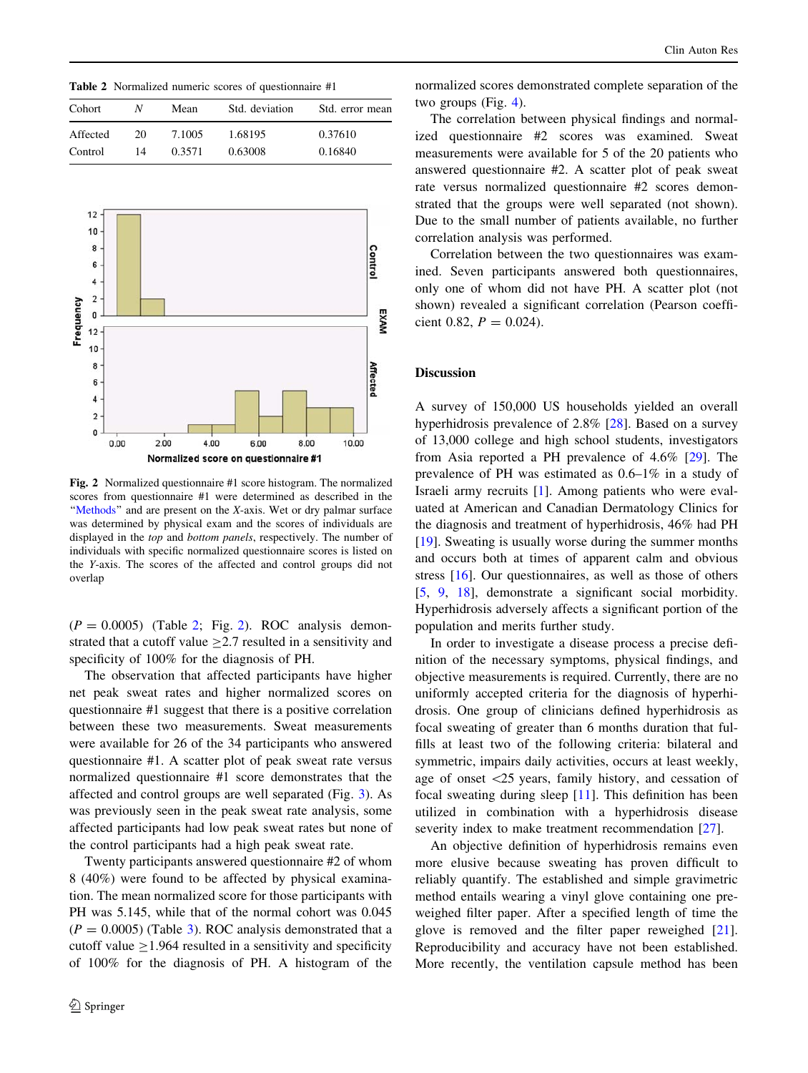Table 2 Normalized numeric scores of questionnaire #1

| N  | Mean   | Std. deviation | Std. error mean |  |  |  |
|----|--------|----------------|-----------------|--|--|--|
| 20 | 7.1005 | 1.68195        | 0.37610         |  |  |  |
| 14 | 0.3571 | 0.63008        | 0.16840         |  |  |  |
|    |        |                |                 |  |  |  |



Fig. 2 Normalized questionnaire #1 score histogram. The normalized scores from questionnaire #1 were determined as described in the "Methods" and are present on the X-axis. Wet or dry palmar surface was determined by physical exam and the scores of individuals are displayed in the top and bottom panels, respectively. The number of individuals with specific normalized questionnaire scores is listed on the Y-axis. The scores of the affected and control groups did not overlap

 $(P = 0.0005)$  (Table 2; Fig. 2). ROC analysis demonstrated that a cutoff value  $\geq$  2.7 resulted in a sensitivity and specificity of 100% for the diagnosis of PH.

The observation that affected participants have higher net peak sweat rates and higher normalized scores on questionnaire #1 suggest that there is a positive correlation between these two measurements. Sweat measurements were available for 26 of the 34 participants who answered questionnaire #1. A scatter plot of peak sweat rate versus normalized questionnaire #1 score demonstrates that the affected and control groups are well separated (Fig. [3](#page-4-0)). As was previously seen in the peak sweat rate analysis, some affected participants had low peak sweat rates but none of the control participants had a high peak sweat rate.

Twenty participants answered questionnaire #2 of whom 8 (40%) were found to be affected by physical examination. The mean normalized score for those participants with PH was 5.145, while that of the normal cohort was 0.045  $(P = 0.0005)$  (Table [3\)](#page-4-0). ROC analysis demonstrated that a cutoff value  $\geq$ 1.964 resulted in a sensitivity and specificity of 100% for the diagnosis of PH. A histogram of the

normalized scores demonstrated complete separation of the two groups (Fig. [4](#page-4-0)).

The correlation between physical findings and normalized questionnaire #2 scores was examined. Sweat measurements were available for 5 of the 20 patients who answered questionnaire #2. A scatter plot of peak sweat rate versus normalized questionnaire #2 scores demonstrated that the groups were well separated (not shown). Due to the small number of patients available, no further correlation analysis was performed.

Correlation between the two questionnaires was examined. Seven participants answered both questionnaires, only one of whom did not have PH. A scatter plot (not shown) revealed a significant correlation (Pearson coefficient 0.82,  $P = 0.024$ .

## Discussion

A survey of 150,000 US households yielded an overall hyperhidrosis prevalence of 2.8% [[28\]](#page-6-0). Based on a survey of 13,000 college and high school students, investigators from Asia reported a PH prevalence of 4.6% [\[29](#page-6-0)]. The prevalence of PH was estimated as 0.6–1% in a study of Israeli army recruits [[1\]](#page-6-0). Among patients who were evaluated at American and Canadian Dermatology Clinics for the diagnosis and treatment of hyperhidrosis, 46% had PH [\[19](#page-6-0)]. Sweating is usually worse during the summer months and occurs both at times of apparent calm and obvious stress [\[16](#page-6-0)]. Our questionnaires, as well as those of others [\[5](#page-6-0), [9](#page-6-0), [18\]](#page-6-0), demonstrate a significant social morbidity. Hyperhidrosis adversely affects a significant portion of the population and merits further study.

In order to investigate a disease process a precise definition of the necessary symptoms, physical findings, and objective measurements is required. Currently, there are no uniformly accepted criteria for the diagnosis of hyperhidrosis. One group of clinicians defined hyperhidrosis as focal sweating of greater than 6 months duration that fulfills at least two of the following criteria: bilateral and symmetric, impairs daily activities, occurs at least weekly, age of onset  $\langle 25 \rangle$  years, family history, and cessation of focal sweating during sleep [[11\]](#page-6-0). This definition has been utilized in combination with a hyperhidrosis disease severity index to make treatment recommendation [\[27](#page-6-0)].

An objective definition of hyperhidrosis remains even more elusive because sweating has proven difficult to reliably quantify. The established and simple gravimetric method entails wearing a vinyl glove containing one preweighed filter paper. After a specified length of time the glove is removed and the filter paper reweighed [\[21](#page-6-0)]. Reproducibility and accuracy have not been established. More recently, the ventilation capsule method has been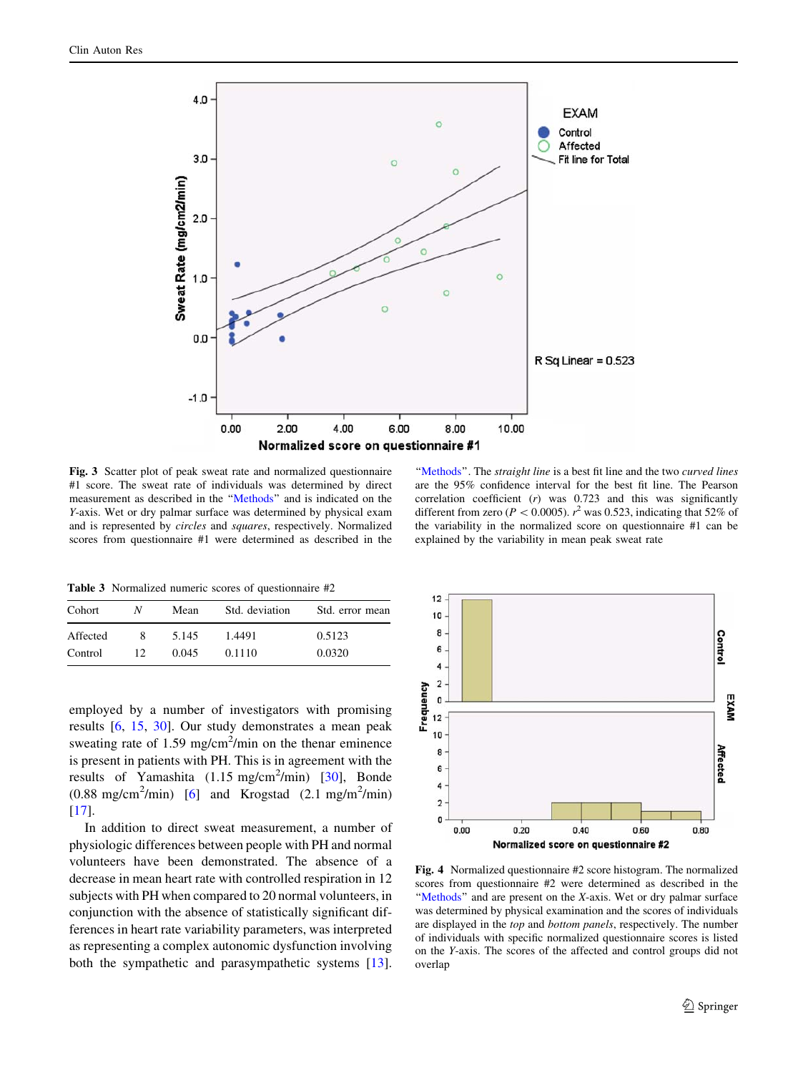<span id="page-4-0"></span>

Fig. 3 Scatter plot of peak sweat rate and normalized questionnaire #1 score. The sweat rate of individuals was determined by direct measurement as described in the '['Methods'](#page-1-0)' and is indicated on the Y-axis. Wet or dry palmar surface was determined by physical exam and is represented by circles and squares, respectively. Normalized scores from questionnaire #1 were determined as described in the

"[Methods](#page-1-0)". The straight line is a best fit line and the two curved lines are the 95% confidence interval for the best fit line. The Pearson correlation coefficient  $(r)$  was 0.723 and this was significantly different from zero ( $P < 0.0005$ ).  $r^2$  was 0.523, indicating that 52% of the variability in the normalized score on questionnaire #1 can be explained by the variability in mean peak sweat rate

Table 3 Normalized numeric scores of questionnaire #2

| Cohort   | N   | Mean  | Std. deviation | Std. error mean |
|----------|-----|-------|----------------|-----------------|
| Affected | 8.  | 5.145 | 1.4491         | 0.5123          |
| Control  | 12. | 0.045 | 0.1110         | 0.0320          |

employed by a number of investigators with promising results [[6,](#page-6-0) [15](#page-6-0), [30](#page-6-0)]. Our study demonstrates a mean peak sweating rate of 1.59 mg/cm<sup>2</sup>/min on the thenar eminence is present in patients with PH. This is in agreement with the results of Yamashita  $(1.15 \text{ mg/cm}^2/\text{min})$  [[30\]](#page-6-0), Bonde  $(0.88 \text{ mg/cm}^2/\text{min})$  [\[6](#page-6-0)] and Krogstad  $(2.1 \text{ mg/m}^2/\text{min})$  $[17]$  $[17]$ .

In addition to direct sweat measurement, a number of physiologic differences between people with PH and normal volunteers have been demonstrated. The absence of a decrease in mean heart rate with controlled respiration in 12 subjects with PH when compared to 20 normal volunteers, in conjunction with the absence of statistically significant differences in heart rate variability parameters, was interpreted as representing a complex autonomic dysfunction involving both the sympathetic and parasympathetic systems [\[13](#page-6-0)].



Fig. 4 Normalized questionnaire #2 score histogram. The normalized scores from questionnaire #2 were determined as described in the "[Methods](#page-1-0)" and are present on the X-axis. Wet or dry palmar surface was determined by physical examination and the scores of individuals are displayed in the top and bottom panels, respectively. The number of individuals with specific normalized questionnaire scores is listed on the Y-axis. The scores of the affected and control groups did not overlap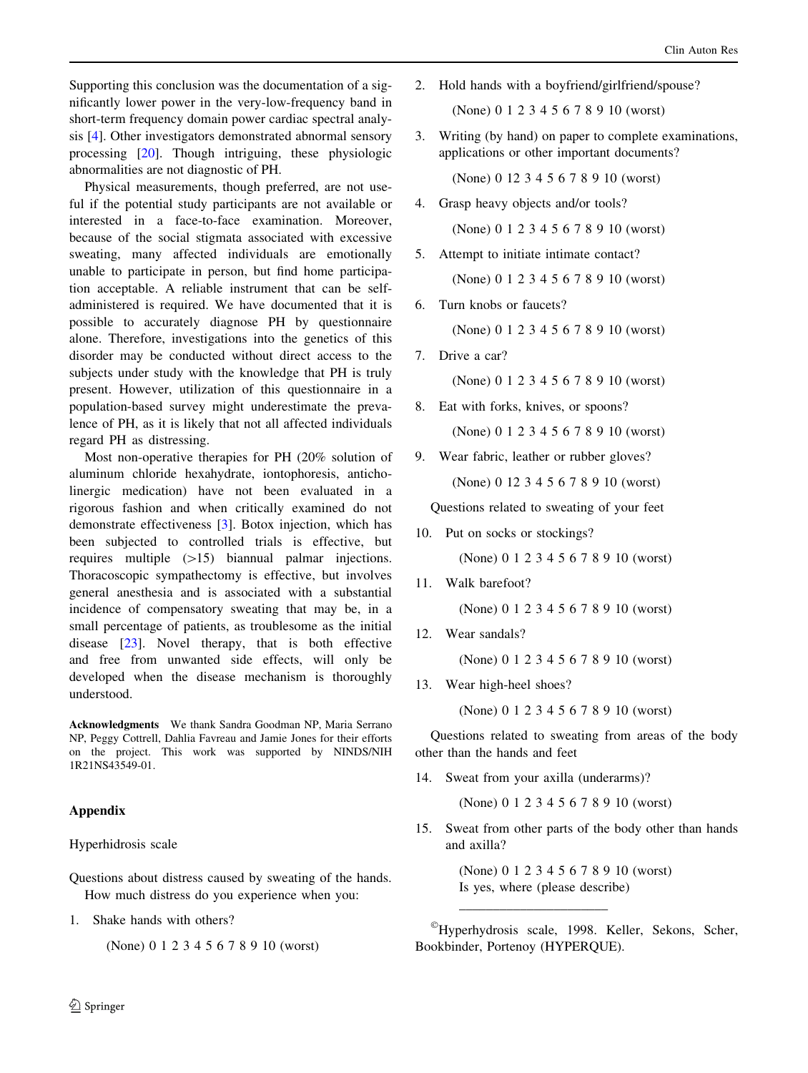<span id="page-5-0"></span>Supporting this conclusion was the documentation of a significantly lower power in the very-low-frequency band in short-term frequency domain power cardiac spectral analysis [[4\]](#page-6-0). Other investigators demonstrated abnormal sensory processing [\[20](#page-6-0)]. Though intriguing, these physiologic abnormalities are not diagnostic of PH.

Physical measurements, though preferred, are not useful if the potential study participants are not available or interested in a face-to-face examination. Moreover, because of the social stigmata associated with excessive sweating, many affected individuals are emotionally unable to participate in person, but find home participation acceptable. A reliable instrument that can be selfadministered is required. We have documented that it is possible to accurately diagnose PH by questionnaire alone. Therefore, investigations into the genetics of this disorder may be conducted without direct access to the subjects under study with the knowledge that PH is truly present. However, utilization of this questionnaire in a population-based survey might underestimate the prevalence of PH, as it is likely that not all affected individuals regard PH as distressing.

Most non-operative therapies for PH (20% solution of aluminum chloride hexahydrate, iontophoresis, anticholinergic medication) have not been evaluated in a rigorous fashion and when critically examined do not demonstrate effectiveness [\[3](#page-6-0)]. Botox injection, which has been subjected to controlled trials is effective, but requires multiple  $(>15)$  biannual palmar injections. Thoracoscopic sympathectomy is effective, but involves general anesthesia and is associated with a substantial incidence of compensatory sweating that may be, in a small percentage of patients, as troublesome as the initial disease [[23\]](#page-6-0). Novel therapy, that is both effective and free from unwanted side effects, will only be developed when the disease mechanism is thoroughly understood.

Acknowledgments We thank Sandra Goodman NP, Maria Serrano NP, Peggy Cottrell, Dahlia Favreau and Jamie Jones for their efforts on the project. This work was supported by NINDS/NIH 1R21NS43549-01.

## Appendix

#### Hyperhidrosis scale

- Questions about distress caused by sweating of the hands. How much distress do you experience when you:
- 1. Shake hands with others?

(None) 0 1 2 3 4 5 6 7 8 9 10 (worst)

2. Hold hands with a boyfriend/girlfriend/spouse?

(None) 0 1 2 3 4 5 6 7 8 9 10 (worst)

3. Writing (by hand) on paper to complete examinations, applications or other important documents?

(None) 0 12 3 4 5 6 7 8 9 10 (worst)

4. Grasp heavy objects and/or tools?

(None) 0 1 2 3 4 5 6 7 8 9 10 (worst)

5. Attempt to initiate intimate contact?

(None) 0 1 2 3 4 5 6 7 8 9 10 (worst)

6. Turn knobs or faucets?

(None) 0 1 2 3 4 5 6 7 8 9 10 (worst)

7. Drive a car?

(None) 0 1 2 3 4 5 6 7 8 9 10 (worst)

- 8. Eat with forks, knives, or spoons? (None) 0 1 2 3 4 5 6 7 8 9 10 (worst)
- 9. Wear fabric, leather or rubber gloves? (None) 0 12 3 4 5 6 7 8 9 10 (worst)

Questions related to sweating of your feet

10. Put on socks or stockings?

(None) 0 1 2 3 4 5 6 7 8 9 10 (worst)

11. Walk barefoot?

(None) 0 1 2 3 4 5 6 7 8 9 10 (worst)

12. Wear sandals?

(None) 0 1 2 3 4 5 6 7 8 9 10 (worst)

13. Wear high-heel shoes?

(None) 0 1 2 3 4 5 6 7 8 9 10 (worst)

Questions related to sweating from areas of the body other than the hands and feet

14. Sweat from your axilla (underarms)?

\_\_\_\_\_\_\_\_\_\_\_\_\_\_\_\_\_\_\_\_\_\_

(None) 0 1 2 3 4 5 6 7 8 9 10 (worst)

15. Sweat from other parts of the body other than hands and axilla?

> (None) 0 1 2 3 4 5 6 7 8 9 10 (worst) Is yes, where (please describe)

Hyperhydrosis scale, 1998. Keller, Sekons, Scher, Bookbinder, Portenoy (HYPERQUE).